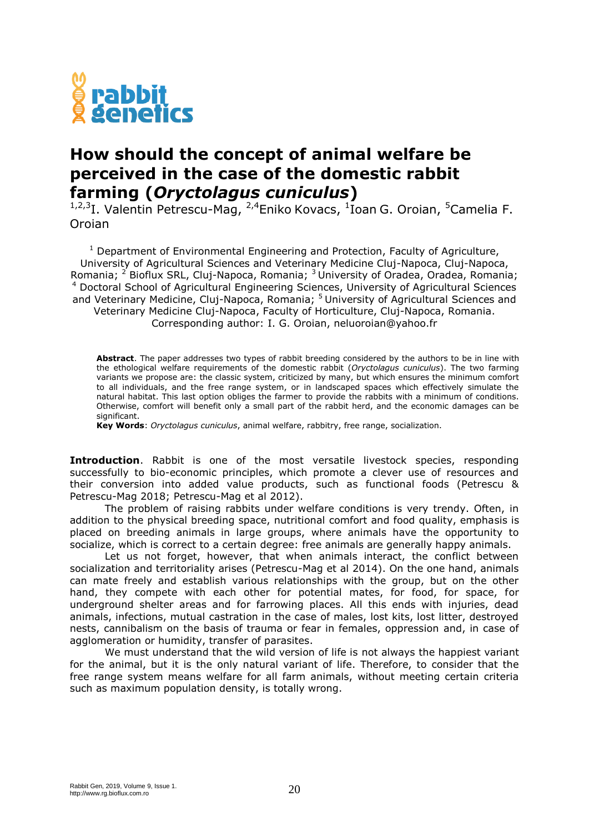

## **How should the concept of animal welfare be perceived in the case of the domestic rabbit farming (***Oryctolagus cuniculus***)**

<sup>1,2,3</sup>I. Valentin Petrescu-Mag, <sup>2,4</sup>Eniko Kovacs, <sup>1</sup>Ioan G. Oroian, <sup>5</sup>Camelia F. Oroian

 $1$  Department of Environmental Engineering and Protection, Faculty of Agriculture, University of Agricultural Sciences and Veterinary Medicine Cluj-Napoca, Cluj-Napoca, Romania; <sup>2</sup> Bioflux SRL, Cluj-Napoca, Romania; <sup>3</sup> University of Oradea, Oradea, Romania; <sup>4</sup> Doctoral School of Agricultural Engineering Sciences, University of Agricultural Sciences and Veterinary Medicine, Cluj-Napoca, Romania; <sup>5</sup>University of Agricultural Sciences and Veterinary Medicine Cluj-Napoca, Faculty of Horticulture, Cluj-Napoca, Romania. Corresponding author: I. G. Oroian, neluoroian@yahoo.fr

**Abstract**. The paper addresses two types of rabbit breeding considered by the authors to be in line with the ethological welfare requirements of the domestic rabbit (*Oryctolagus cuniculus*). The two farming variants we propose are: the classic system, criticized by many, but which ensures the minimum comfort to all individuals, and the free range system, or in landscaped spaces which effectively simulate the natural habitat. This last option obliges the farmer to provide the rabbits with a minimum of conditions. Otherwise, comfort will benefit only a small part of the rabbit herd, and the economic damages can be significant.

**Key Words**: *Oryctolagus cuniculus*, animal welfare, rabbitry, free range, socialization.

**Introduction**. Rabbit is one of the most versatile livestock species, responding successfully to bio-economic principles, which promote a clever use of resources and their conversion into added value products, such as functional foods (Petrescu & Petrescu-Mag 2018; Petrescu-Mag et al 2012).

The problem of raising rabbits under welfare conditions is very trendy. Often, in addition to the physical breeding space, nutritional comfort and food quality, emphasis is placed on breeding animals in large groups, where animals have the opportunity to socialize, which is correct to a certain degree: free animals are generally happy animals.

Let us not forget, however, that when animals interact, the conflict between socialization and territoriality arises (Petrescu-Mag et al 2014). On the one hand, animals can mate freely and establish various relationships with the group, but on the other hand, they compete with each other for potential mates, for food, for space, for underground shelter areas and for farrowing places. All this ends with injuries, dead animals, infections, mutual castration in the case of males, lost kits, lost litter, destroyed nests, cannibalism on the basis of trauma or fear in females, oppression and, in case of agglomeration or humidity, transfer of parasites.

We must understand that the wild version of life is not always the happiest variant for the animal, but it is the only natural variant of life. Therefore, to consider that the free range system means welfare for all farm animals, without meeting certain criteria such as maximum population density, is totally wrong.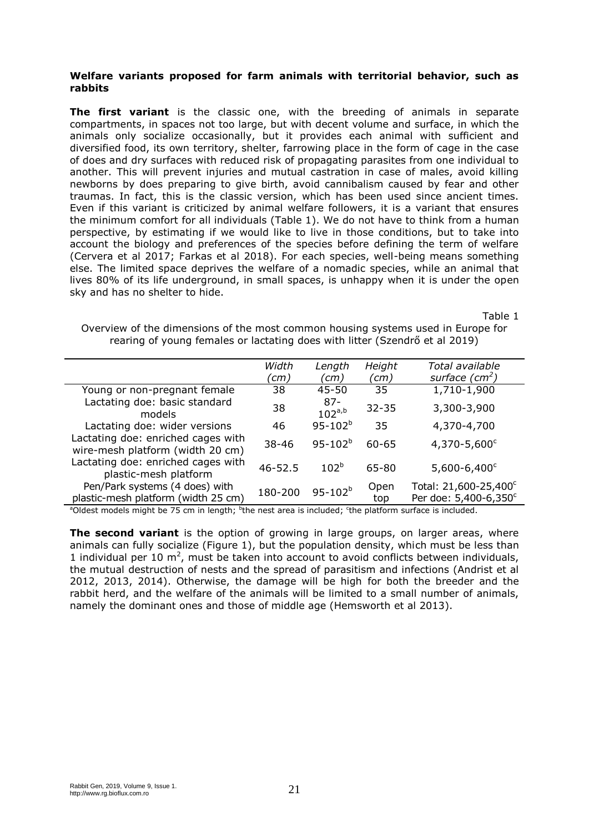## **Welfare variants proposed for farm animals with territorial behavior, such as rabbits**

**The first variant** is the classic one, with the breeding of animals in separate compartments, in spaces not too large, but with decent volume and surface, in which the animals only socialize occasionally, but it provides each animal with sufficient and diversified food, its own territory, shelter, farrowing place in the form of cage in the case of does and dry surfaces with reduced risk of propagating parasites from one individual to another. This will prevent injuries and mutual castration in case of males, avoid killing newborns by does preparing to give birth, avoid cannibalism caused by fear and other traumas. In fact, this is the classic version, which has been used since ancient times. Even if this variant is criticized by animal welfare followers, it is a variant that ensures the minimum comfort for all individuals (Table 1). We do not have to think from a human perspective, by estimating if we would like to live in those conditions, but to take into account the biology and preferences of the species before defining the term of welfare (Cervera et al 2017; Farkas et al 2018). For each species, well-being means something else. The limited space deprives the welfare of a nomadic species, while an animal that lives 80% of its life underground, in small spaces, is unhappy when it is under the open sky and has no shelter to hide.

Table 1

Overview of the dimensions of the most common housing systems used in Europe for rearing of young females or lactating does with litter (Szendrő et al 2019)

|                                                                        | Width       | Length                | Height      | Total available                                |
|------------------------------------------------------------------------|-------------|-----------------------|-------------|------------------------------------------------|
|                                                                        | ้cm)        | (cm)                  | (cm)        | surface $(cm2)$                                |
| Young or non-pregnant female                                           | 38          | 45-50                 | 35          | 1,710-1,900                                    |
| Lactating doe: basic standard<br>models                                | 38          | $87 -$<br>$102^{a,b}$ | $32 - 35$   | 3,300-3,900                                    |
| Lactating doe: wider versions                                          | 46          | $95 - 102^b$          | 35          | 4,370-4,700                                    |
| Lactating doe: enriched cages with<br>wire-mesh platform (width 20 cm) | $38 - 46$   | $95 - 102^{b}$        | $60 - 65$   | $4,370 - 5,600^{\circ}$                        |
| Lactating doe: enriched cages with<br>plastic-mesh platform            | $46 - 52.5$ | $102^{b}$             | 65-80       | $5,600 - 6,400^{\circ}$                        |
| Pen/Park systems (4 does) with<br>plastic-mesh platform (width 25 cm)  | 180-200     | $95 - 102^b$          | Open<br>top | Total: 21,600-25,400°<br>Per doe: 5,400-6,350° |
|                                                                        |             |                       |             |                                                |

<sup>a</sup>Oldest models might be 75 cm in length; <sup>b</sup>the nest area is included; <sup>c</sup>the platform surface is included.

**The second variant** is the option of growing in large groups, on larger areas, where animals can fully socialize (Figure 1), but the population density, which must be less than 1 individual per 10  $m^2$ , must be taken into account to avoid conflicts between individuals, the mutual destruction of nests and the spread of parasitism and infections (Andrist et al 2012, 2013, 2014). Otherwise, the damage will be high for both the breeder and the rabbit herd, and the welfare of the animals will be limited to a small number of animals, namely the dominant ones and those of middle age (Hemsworth et al 2013).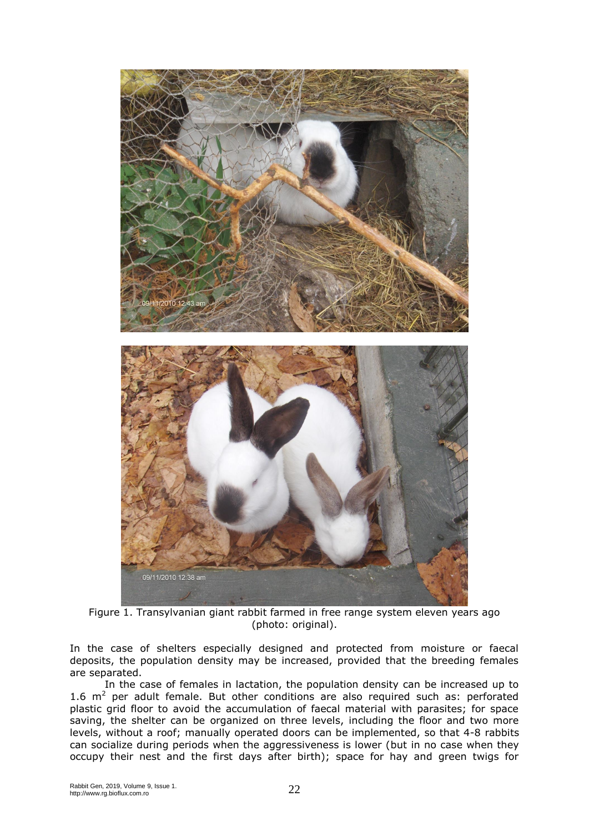

Figure 1. Transylvanian giant rabbit farmed in free range system eleven years ago (photo: original).

In the case of shelters especially designed and protected from moisture or faecal deposits, the population density may be increased, provided that the breeding females are separated.

In the case of females in lactation, the population density can be increased up to 1.6  $m^2$  per adult female. But other conditions are also required such as: perforated plastic grid floor to avoid the accumulation of faecal material with parasites; for space saving, the shelter can be organized on three levels, including the floor and two more levels, without a roof; manually operated doors can be implemented, so that 4-8 rabbits can socialize during periods when the aggressiveness is lower (but in no case when they occupy their nest and the first days after birth); space for hay and green twigs for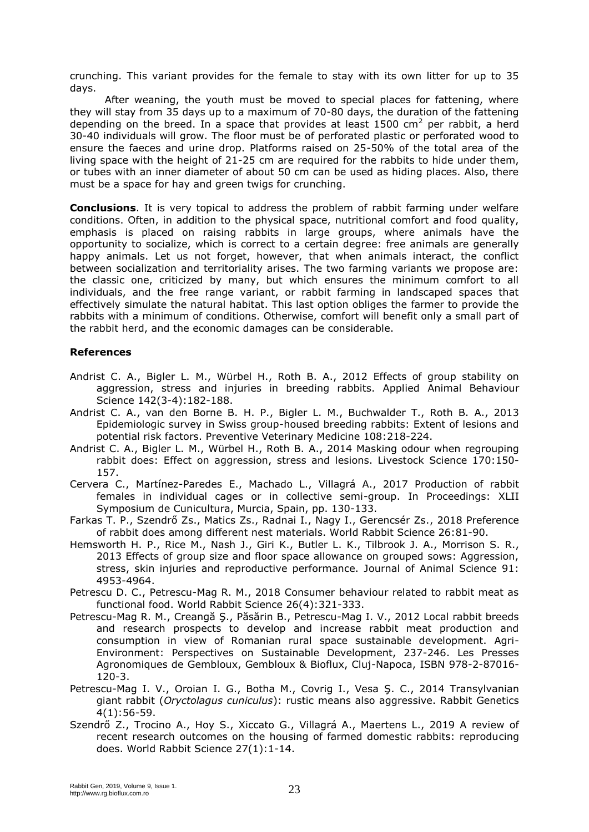crunching. This variant provides for the female to stay with its own litter for up to 35 days.

After weaning, the youth must be moved to special places for fattening, where they will stay from 35 days up to a maximum of 70-80 days, the duration of the fattening depending on the breed. In a space that provides at least  $1500 \text{ cm}^2$  per rabbit, a herd 30-40 individuals will grow. The floor must be of perforated plastic or perforated wood to ensure the faeces and urine drop. Platforms raised on 25-50% of the total area of the living space with the height of 21-25 cm are required for the rabbits to hide under them, or tubes with an inner diameter of about 50 cm can be used as hiding places. Also, there must be a space for hay and green twigs for crunching.

**Conclusions**. It is very topical to address the problem of rabbit farming under welfare conditions. Often, in addition to the physical space, nutritional comfort and food quality, emphasis is placed on raising rabbits in large groups, where animals have the opportunity to socialize, which is correct to a certain degree: free animals are generally happy animals. Let us not forget, however, that when animals interact, the conflict between socialization and territoriality arises. The two farming variants we propose are: the classic one, criticized by many, but which ensures the minimum comfort to all individuals, and the free range variant, or rabbit farming in landscaped spaces that effectively simulate the natural habitat. This last option obliges the farmer to provide the rabbits with a minimum of conditions. Otherwise, comfort will benefit only a small part of the rabbit herd, and the economic damages can be considerable.

## **References**

- Andrist C. A., Bigler L. M., Würbel H., Roth B. A., 2012 Effects of group stability on aggression, stress and injuries in breeding rabbits. Applied Animal Behaviour Science 142(3-4):182-188.
- Andrist C. A., van den Borne B. H. P., Bigler L. M., Buchwalder T., Roth B. A., 2013 Epidemiologic survey in Swiss group-housed breeding rabbits: Extent of lesions and potential risk factors. Preventive Veterinary Medicine 108:218-224.
- Andrist C. A., Bigler L. M., Würbel H., Roth B. A., 2014 Masking odour when regrouping rabbit does: Effect on aggression, stress and lesions. Livestock Science 170:150- 157.
- Cervera C., Martínez-Paredes E., Machado L., Villagrá A., 2017 Production of rabbit females in individual cages or in collective semi-group. In Proceedings: XLII Symposium de Cunicultura, Murcia, Spain, pp. 130-133.
- Farkas T. P., Szendrő Zs., Matics Zs., Radnai I., Nagy I., Gerencsér Zs., 2018 Preference of rabbit does among different nest materials. World Rabbit Science 26:81-90.
- Hemsworth H. P., Rice M., Nash J., Giri K., Butler L. K., Tilbrook J. A., Morrison S. R., 2013 Effects of group size and floor space allowance on grouped sows: Aggression, stress, skin injuries and reproductive performance. Journal of Animal Science 91: 4953-4964.
- Petrescu D. C., Petrescu-Mag R. M., 2018 Consumer behaviour related to rabbit meat as functional food. World Rabbit Science 26(4):321-333.
- Petrescu-Mag R. M., Creangă Ş., Păsărin B., Petrescu-Mag I. V., 2012 Local rabbit breeds and research prospects to develop and increase rabbit meat production and consumption in view of Romanian rural space sustainable development. Agri-Environment: Perspectives on Sustainable Development, 237-246. Les Presses Agronomiques de Gembloux, Gembloux & Bioflux, Cluj-Napoca, ISBN 978-2-87016- 120-3.
- Petrescu-Mag I. V., Oroian I. G., Botha M., Covrig I., Vesa Ş. C., 2014 Transylvanian giant rabbit (*Oryctolagus cuniculus*): rustic means also aggressive. Rabbit Genetics 4(1):56-59.
- Szendrő Z., Trocino A., Hoy S., Xiccato G., Villagrá A., Maertens L., 2019 A review of recent research outcomes on the housing of farmed domestic rabbits: reproducing does. World Rabbit Science 27(1):1-14.